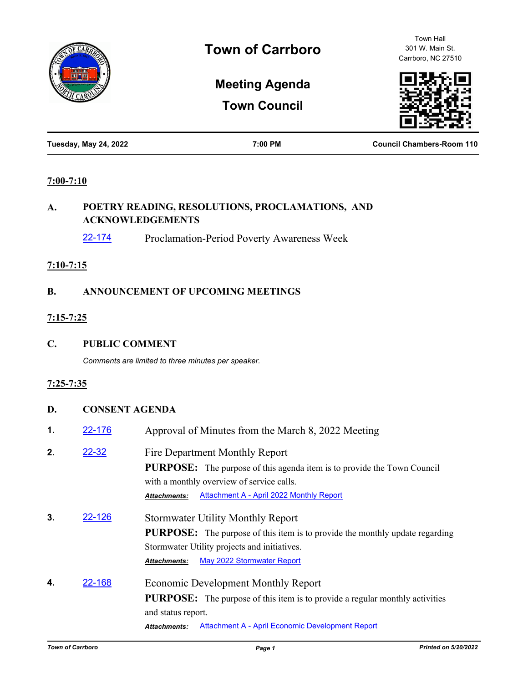

Town Hall 301 W. Main St. Carrboro, NC 27510

# **Meeting Agenda**

**Town Council**



| Tuesday, May 24, 2022 | 7:00 PM | <b>Council Chambers-Room 110</b> |
|-----------------------|---------|----------------------------------|
|                       |         |                                  |

#### **7:00-7:10**

# **A. POETRY READING, RESOLUTIONS, PROCLAMATIONS, AND ACKNOWLEDGEMENTS**

[22-174](http://carrboro.legistar.com/gateway.aspx?m=l&id=/matter.aspx?key=4787) Proclamation-Period Poverty Awareness Week

#### **7:10-7:15**

### **B. ANNOUNCEMENT OF UPCOMING MEETINGS**

### **7:15-7:25**

**C. PUBLIC COMMENT**

*Comments are limited to three minutes per speaker.*

### **7:25-7:35**

## **D. CONSENT AGENDA**

| 1. | 22-176    | Approval of Minutes from the March 8, 2022 Meeting                                                                                                                                                                               |
|----|-----------|----------------------------------------------------------------------------------------------------------------------------------------------------------------------------------------------------------------------------------|
| 2. | $22 - 32$ | Fire Department Monthly Report<br><b>PURPOSE:</b> The purpose of this agenda item is to provide the Town Council<br>with a monthly overview of service calls.<br>Attachment A - April 2022 Monthly Report<br><b>Attachments:</b> |
| 3. | 22-126    | <b>Stormwater Utility Monthly Report</b><br><b>PURPOSE:</b> The purpose of this item is to provide the monthly update regarding<br>Stormwater Utility projects and initiatives.<br>May 2022 Stormwater Report<br>Attachments:    |
| 4. | 22-168    | <b>Economic Development Monthly Report</b><br><b>PURPOSE:</b> The purpose of this item is to provide a regular monthly activities<br>and status report.                                                                          |

*Attachments:* [Attachment A - April Economic Development Report](http://carrboro.legistar.com/gateway.aspx?M=F&ID=f8359476-04c4-484c-9c7e-3961bc0e7ad3.pdf)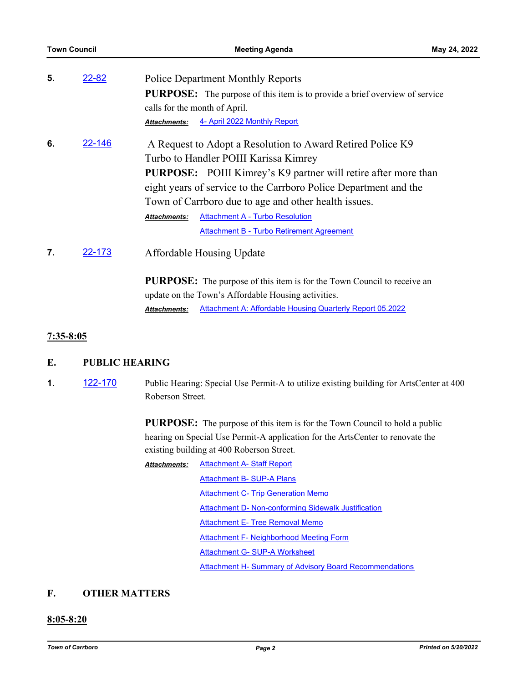| <b>Town Council</b> |               | <b>Meeting Agenda</b>                                                                                                                                                                                                                                                                                    | May 24, 2022 |
|---------------------|---------------|----------------------------------------------------------------------------------------------------------------------------------------------------------------------------------------------------------------------------------------------------------------------------------------------------------|--------------|
| 5.                  | $22 - 82$     | <b>Police Department Monthly Reports</b><br><b>PURPOSE:</b> The purpose of this item is to provide a brief overview of service<br>calls for the month of April.<br>4- April 2022 Monthly Report<br>Attachments:                                                                                          |              |
| 6.                  | 22-146        | A Request to Adopt a Resolution to Award Retired Police K9<br>Turbo to Handler POIII Karissa Kimrey<br><b>PURPOSE:</b> POIII Kimrey's K9 partner will retire after more than<br>eight years of service to the Carrboro Police Department and the<br>Town of Carrboro due to age and other health issues. |              |
| 7.                  | <u>22-173</u> | <b>Attachment A - Turbo Resolution</b><br><b>Attachments:</b><br><b>Attachment B - Turbo Retirement Agreement</b><br><b>Affordable Housing Update</b><br><b>PURPOSE:</b> The purpose of this item is for the Town Council to receive an<br>update on the Town's Affordable Housing activities.           |              |
|                     |               | Attachment A: Affordable Housing Quarterly Report 05.2022<br><b>Attachments:</b>                                                                                                                                                                                                                         |              |

#### **7:35-8:05**

- **E. PUBLIC HEARING**
- **1.** [122-170](http://carrboro.legistar.com/gateway.aspx?m=l&id=/matter.aspx?key=4783) Public Hearing: Special Use Permit-A to utilize existing building for ArtsCenter at 400 Roberson Street.

**PURPOSE:** The purpose of this item is for the Town Council to hold a public hearing on Special Use Permit-A application for the ArtsCenter to renovate the existing building at 400 Roberson Street.

[Attachment A- Staff Report](http://carrboro.legistar.com/gateway.aspx?M=F&ID=8c5f99bd-81e5-43a3-a667-088f3a53d709.pdf) [Attachment B- SUP-A Plans](http://carrboro.legistar.com/gateway.aspx?M=F&ID=0a4f2c7f-4c94-4d3d-8f1a-2ea3f9be6fe2.pdf) **[Attachment C- Trip Generation Memo](http://carrboro.legistar.com/gateway.aspx?M=F&ID=fa8d2046-5287-4ec7-a9fa-aa5dcf904775.pdf)** [Attachment D- Non-conforming Sidewalk Justification](http://carrboro.legistar.com/gateway.aspx?M=F&ID=3cd2a302-e0ea-4a0b-a127-4b51dad6b899.pdf) [Attachment E- Tree Removal Memo](http://carrboro.legistar.com/gateway.aspx?M=F&ID=720e85ac-d694-474c-b041-62e13f2e97f0.pdf) [Attachment F- Neighborhood Meeting Form](http://carrboro.legistar.com/gateway.aspx?M=F&ID=bfaf51ac-db3d-400b-a462-1f346e0dc8bd.pdf) [Attachment G- SUP-A Worksheet](http://carrboro.legistar.com/gateway.aspx?M=F&ID=49f103b4-25f0-4e0e-9f98-ced0bfbc7c06.pdf) **[Attachment H- Summary of Advisory Board Recommendations](http://carrboro.legistar.com/gateway.aspx?M=F&ID=2448585f-40d4-403f-8816-e99bc2dc51d5.pdf)** *Attachments:*

### **F. OTHER MATTERS**

#### **8:05-8:20**